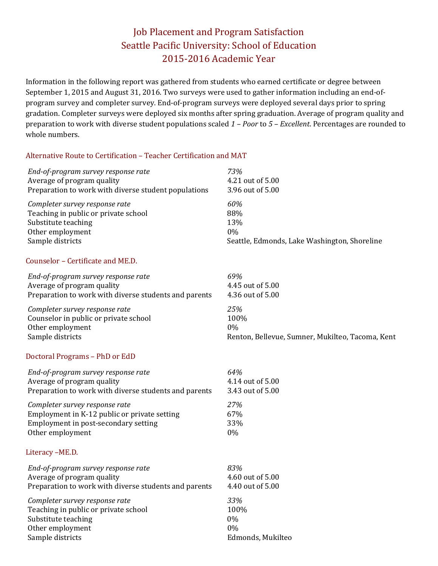# Job Placement and Program Satisfaction Seattle Pacific University: School of Education 2015‐2016 Academic Year

Information in the following report was gathered from students who earned certificate or degree between September 1, 2015 and August 31, 2016. Two surveys were used to gather information including an end-ofprogram survey and completer survey. End-of-program surveys were deployed several days prior to spring gradation. Completer surveys were deployed six months after spring graduation. Average of program quality and preparation to work with diverse student populations scaled  $1$  – *Poor* to 5 – *Excellent*. Percentages are rounded to whole numbers.

#### Alternative Route to Certification - Teacher Certification and MAT

| End-of-program survey response rate                   | 73%                                              |
|-------------------------------------------------------|--------------------------------------------------|
| Average of program quality                            | 4.21 out of 5.00                                 |
| Preparation to work with diverse student populations  | 3.96 out of 5.00                                 |
| Completer survey response rate                        | 60%                                              |
| Teaching in public or private school                  | 88%                                              |
| Substitute teaching                                   | 13%                                              |
| Other employment                                      | 0%                                               |
| Sample districts                                      | Seattle, Edmonds, Lake Washington, Shoreline     |
| Counselor - Certificate and ME.D.                     |                                                  |
| End-of-program survey response rate                   | 69%                                              |
| Average of program quality                            | 4.45 out of 5.00                                 |
| Preparation to work with diverse students and parents | 4.36 out of 5.00                                 |
| Completer survey response rate                        | 25%                                              |
| Counselor in public or private school                 | 100%                                             |
| Other employment                                      | 0%                                               |
| Sample districts                                      | Renton, Bellevue, Sumner, Mukilteo, Tacoma, Kent |
| Doctoral Programs - PhD or EdD                        |                                                  |
| End-of-program survey response rate                   | 64%                                              |
| Average of program quality                            | 4.14 out of 5.00                                 |
| Preparation to work with diverse students and parents | 3.43 out of 5.00                                 |
| Completer survey response rate                        | 27%                                              |
| Employment in K-12 public or private setting          | 67%                                              |
| Employment in post-secondary setting                  | 33%                                              |
| Other employment                                      | 0%                                               |
| Literacy-ME.D.                                        |                                                  |
| End-of-program survey response rate                   | 83%                                              |
| Average of program quality                            | 4.60 out of 5.00                                 |
| Preparation to work with diverse students and parents | 4.40 out of 5.00                                 |
| Completer survey response rate                        | 33%                                              |
| Teaching in public or private school                  | 100%                                             |
| Substitute teaching                                   | 0%                                               |
| Other employment                                      | 0%                                               |
| Sample districts                                      | Edmonds, Mukilteo                                |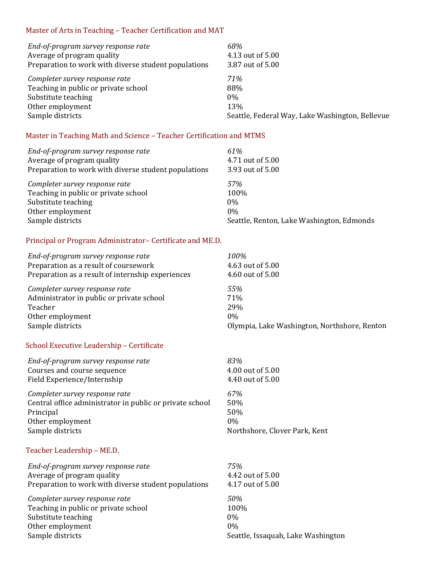## Master of Arts in Teaching - Teacher Certification and MAT

| End-of-program survey response rate                  | 68%                                             |
|------------------------------------------------------|-------------------------------------------------|
| Average of program quality                           | 4.13 out of 5.00                                |
| Preparation to work with diverse student populations | 3.87 out of 5.00                                |
| Completer survey response rate                       | 71%                                             |
| Teaching in public or private school                 | 88%                                             |
| Substitute teaching                                  | $0\%$                                           |
| Other employment                                     | 13%                                             |
| Sample districts                                     | Seattle, Federal Way, Lake Washington, Bellevue |

## Master in Teaching Math and Science - Teacher Certification and MTMS

| End-of-program survey response rate<br>Average of program quality | 61%<br>4.71 out of 5.00                   |
|-------------------------------------------------------------------|-------------------------------------------|
| Preparation to work with diverse student populations              | 3.93 out of 5.00                          |
| Completer survey response rate                                    | 57%                                       |
| Teaching in public or private school                              | 100%                                      |
| Substitute teaching                                               | $0\%$                                     |
| Other employment                                                  | $0\%$                                     |
| Sample districts                                                  | Seattle, Renton, Lake Washington, Edmonds |

#### Principal or Program Administrator- Certificate and ME.D.

| End-of-program survey response rate               | 100%                                         |
|---------------------------------------------------|----------------------------------------------|
| Preparation as a result of coursework             | 4.63 out of 5.00                             |
| Preparation as a result of internship experiences | 4.60 out of 5.00                             |
| Completer survey response rate                    | 55%                                          |
| Administrator in public or private school         | <b>71%</b>                                   |
| Teacher                                           | 29%                                          |
| Other employment                                  | $0\%$                                        |
| Sample districts                                  | Olympia, Lake Washington, Northshore, Renton |

### School Executive Leadership - Certificate

| End-of-program survey response rate                      | 83%                           |
|----------------------------------------------------------|-------------------------------|
| Courses and course sequence                              | 4.00 out of 5.00              |
| Field Experience/Internship                              | 4.40 out of 5.00              |
| Completer survey response rate                           | 67%                           |
| Central office administrator in public or private school | 50%                           |
| Principal                                                | 50%                           |
| Other employment                                         | $0\%$                         |
| Sample districts                                         | Northshore, Clover Park, Kent |

### Teacher Leadership - ME.D.

| End-of-program survey response rate                  | <b>7.5%</b>                        |
|------------------------------------------------------|------------------------------------|
| Average of program quality                           | 4.42 out of 5.00                   |
| Preparation to work with diverse student populations | 4.17 out of 5.00                   |
| Completer survey response rate                       | <i>50%</i>                         |
| Teaching in public or private school                 | 100%                               |
| Substitute teaching                                  | $0\%$                              |
| Other employment                                     | $0\%$                              |
| Sample districts                                     | Seattle, Issaquah, Lake Washington |
|                                                      |                                    |